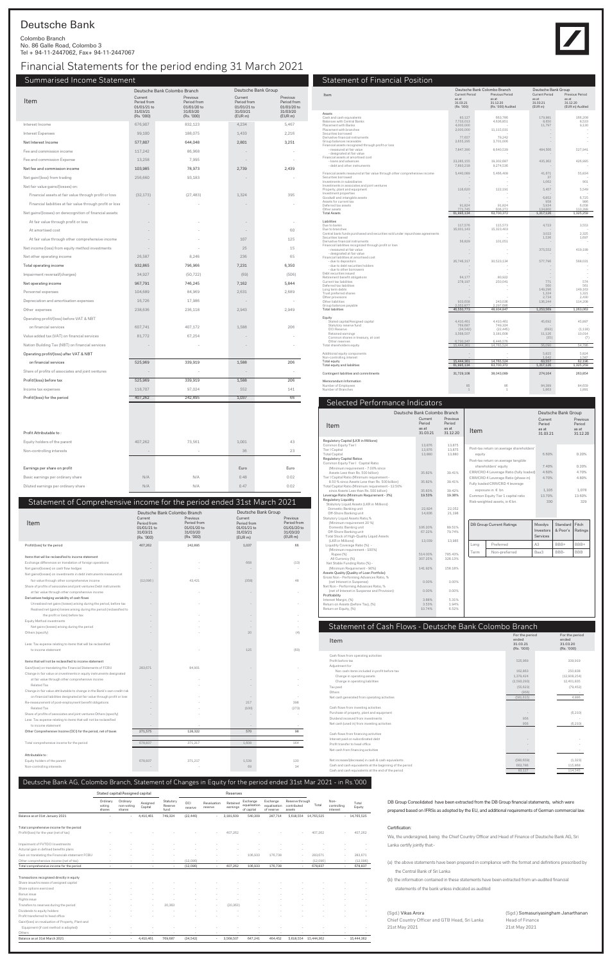# Deutsche Bank

Colombo Branch No. 86 Galle Road, Colombo 3 Tel + 94-11-2447062, Fax+ 94-11-2447067

#### (Sgd.) Vikas Arora

Chief Country Officer and GTB Head, Sri Lanka 21st May 2021

(Sgd.) Somasuriyasingham Janarthanan Head of Finance 21st May 2021

DB Group Consolidated have been extracted from the DB Group financial statements, which were prepared based on IFRSs as adopted by the EU, and additional requirements of German commercial law.

We, the undersigned, being the Chief Country Officer and Head of Finance of Deutsche Bank AG, Sri Lanka certify jointly that:-

(a) the above statements have been prepared in compliance with the format and definitions prescribed by the Central Bank of Sri Lanka

#### Certification:

(b) the information contained in these statements have been extracted from un-audited financial

statements of the bank unless indicated as audited

# Financial Statements for the period ending 31 March 2021

## Summarised Income Statement

|                                                            |                                                                 | Deutsche Bank Colombo Branch                                     |                                                              | Deutsche Bank Group                                           |
|------------------------------------------------------------|-----------------------------------------------------------------|------------------------------------------------------------------|--------------------------------------------------------------|---------------------------------------------------------------|
| Item                                                       | Current<br>Period from<br>01/01/21 to<br>31/03/21<br>(Rs. '000) | Previous<br>Period from<br>01/01/20 to<br>31/03/20<br>(Rs. '000) | Current<br>Period from<br>01/01/21 to<br>31/03/21<br>(EUR m) | Previous<br>Period from<br>01/01/20 to<br>31/03/20<br>(EUR m) |
| Interest Income                                            | 676,907                                                         | 832,123                                                          | 4,234                                                        | 5,467                                                         |
| <b>Interest Expenses</b>                                   | 99,100                                                          | 188,075                                                          | 1,433                                                        | 2,216                                                         |
| Net Interest Income                                        | 577,807                                                         | 644,048                                                          | 2,801                                                        | 3,251                                                         |
| Fee and commission income                                  | 117,242                                                         | 86,968                                                           |                                                              |                                                               |
| Fee and commission Expense                                 | 13,258                                                          | 7,995                                                            |                                                              |                                                               |
| Net fee and commission income                              | 103,985                                                         | 78,973                                                           | 2,739                                                        | 2,439                                                         |
| Net gain/(loss) from trading                               | 256,660                                                         | 93,183                                                           |                                                              |                                                               |
| Net fair value gains/(losses) on:                          |                                                                 |                                                                  |                                                              |                                                               |
| Financial assets at fair value through profit or loss      | (32, 173)                                                       | (27, 483)                                                        | 1,324                                                        | 395                                                           |
| Financial liabilities at fair value through profit or loss |                                                                 |                                                                  |                                                              |                                                               |
| Net gains/(losses) on derecognition of financial assets:   |                                                                 |                                                                  |                                                              |                                                               |
| At fair value through profit or loss                       |                                                                 |                                                                  |                                                              |                                                               |
| At amortised cost                                          |                                                                 |                                                                  |                                                              | 60                                                            |
| At fair value through other comprehensive income           |                                                                 |                                                                  | 107                                                          | 125                                                           |
| Net income (loss) from equity method investments           |                                                                 |                                                                  | 25                                                           | 15                                                            |
| Net other operating income                                 | 26,587                                                          | 8,246                                                            | 236                                                          | 65                                                            |
| Total operating income                                     | 932,865                                                         | 796,966                                                          | 7,231                                                        | 6,350                                                         |
| Impairment reversal/(charges)                              | 34,927                                                          | (50, 722)                                                        | (69)                                                         | (506)                                                         |
| Net operating income                                       | 967,791                                                         | 746,245                                                          | 7,162                                                        | 5,844                                                         |
| Personnel expenses                                         | 104,689                                                         | 84,969                                                           | 2,631                                                        | 2,689                                                         |
| Depreciation and amortisation expenses                     | 16,726                                                          | 17,986                                                           |                                                              |                                                               |
| Other expenses                                             | 238,636                                                         | 236,118                                                          | 2,943                                                        | 2,949                                                         |
| Operating profit/(loss) before VAT & NBT                   |                                                                 |                                                                  |                                                              |                                                               |
| on financial services                                      | 607,741                                                         | 407,172                                                          | 1,588                                                        | 206                                                           |
| Value added tax (VAT) on financial services                | 81,772                                                          | 67,254                                                           |                                                              |                                                               |
| Nation Building Tax (NBT) on financial services            |                                                                 |                                                                  |                                                              |                                                               |
| Operating profit/(loss) after VAT & NBT                    |                                                                 |                                                                  |                                                              |                                                               |
| on financial services                                      | 525,969                                                         | 339,919                                                          | 1,588                                                        | 206                                                           |
| Share of profits of associates and joint ventures          |                                                                 |                                                                  |                                                              |                                                               |
| Profit/(loss) before tax                                   | 525,969                                                         | 339,919                                                          | 1,588                                                        | 206                                                           |
| Income tax expenses                                        | 118,707                                                         | 97,024                                                           | 552                                                          | 141                                                           |
| Profit/(loss) for the period                               | 407,262                                                         | 242,895                                                          | 1,037                                                        | 66                                                            |
|                                                            |                                                                 |                                                                  |                                                              |                                                               |
| Profit Attributable to:                                    |                                                                 |                                                                  |                                                              |                                                               |
| Equity holders of the parent                               | 407,262                                                         | 73,561                                                           | 1,001                                                        | 43                                                            |
| Non-controlling interests                                  | $\overline{\phantom{a}}$                                        |                                                                  | 36                                                           | 23                                                            |
| Earnings per share on profit                               |                                                                 |                                                                  | Euro                                                         | Euro                                                          |
| Basic earnings per ordinary share                          | N/A                                                             | N/A                                                              | 0.48                                                         | 0.02                                                          |
| Diluted earnings per ordinary share                        | N/A                                                             | N/A                                                              | 0.47                                                         | 0.02                                                          |
|                                                            |                                                                 |                                                                  |                                                              |                                                               |

### Statement of Comprehensive income for the period ended 31st March 2021

|                                                                           |                                                                 | Deutsche Bank Colombo Branch                                     |                                                              | Deutsche Bank Group                                          |
|---------------------------------------------------------------------------|-----------------------------------------------------------------|------------------------------------------------------------------|--------------------------------------------------------------|--------------------------------------------------------------|
| Item                                                                      | Current<br>Period from<br>01/01/21 to<br>31/03/21<br>(Rs. '000) | Previous<br>Period from<br>01/01/20 to<br>31/03/20<br>(Rs. '000) | Current<br>Period from<br>01/01/21 to<br>31/03/21<br>(EUR m) | Previous<br>Period from<br>01/01/20 to<br>31/03/20<br>(EURm) |
| Profit/(loss) for the period                                              | 407,262                                                         | 242,895                                                          | 1,037                                                        | 66                                                           |
| Items that will be reclassified to income statement                       |                                                                 |                                                                  |                                                              |                                                              |
| Exchange differences on translation of foreign operations                 |                                                                 |                                                                  | 668                                                          | (13)                                                         |
| Net gains/(losses) on cash flow hedges                                    |                                                                 |                                                                  |                                                              |                                                              |
| Net gains/(losses) on investments in debt instruments measured at         |                                                                 |                                                                  |                                                              |                                                              |
| fair value through other comprehensive income                             | (12,096)                                                        | 43,421                                                           | (358)                                                        | 48                                                           |
| Share of profits of associates and joint ventures Debt instruments        |                                                                 |                                                                  |                                                              |                                                              |
| at fair value through other comprehensive income                          |                                                                 |                                                                  |                                                              |                                                              |
| Derivatives hedging variability of cash flows                             |                                                                 |                                                                  |                                                              |                                                              |
| Unrealised net gains (losses) arising during the period, before tax       |                                                                 |                                                                  |                                                              |                                                              |
| Realised net (gains) losses arising during the period (reclassified to    |                                                                 |                                                                  |                                                              |                                                              |
| the profit or loss) before tax                                            |                                                                 |                                                                  |                                                              |                                                              |
| <b>Equity Method investments</b>                                          |                                                                 |                                                                  |                                                              |                                                              |
| Net gains (losses) arising during the period                              |                                                                 |                                                                  |                                                              |                                                              |
| Others (specify)                                                          |                                                                 |                                                                  | 20                                                           | (4)                                                          |
|                                                                           |                                                                 |                                                                  |                                                              |                                                              |
| Less: Tax expense relating to items that will be reclassified             |                                                                 |                                                                  |                                                              |                                                              |
| to income statement                                                       |                                                                 |                                                                  | 125                                                          | (60)                                                         |
|                                                                           |                                                                 |                                                                  |                                                              |                                                              |
| Items that will not be reclassified to income statement                   |                                                                 |                                                                  |                                                              |                                                              |
| Gain/(loss) on translating the Financial Statements of FCBU               | 283.671                                                         | 84,901                                                           |                                                              |                                                              |
| Change in fair value on investments in equity instruments designated      |                                                                 |                                                                  |                                                              |                                                              |
| at fair value through other comprehensive income                          |                                                                 |                                                                  |                                                              |                                                              |
| Related Tax                                                               |                                                                 |                                                                  |                                                              |                                                              |
| Change in fair value attributable to change in the Bank's own credit risk |                                                                 |                                                                  |                                                              |                                                              |
| on financial liabilities designated at fair value through profit or loss  |                                                                 |                                                                  |                                                              |                                                              |
| Re-measurement of post-employment benefit obligations                     |                                                                 |                                                                  | 217                                                          | 398                                                          |
| <b>Related Tax</b>                                                        |                                                                 |                                                                  | (100)                                                        | (273)                                                        |
|                                                                           |                                                                 |                                                                  |                                                              |                                                              |
| Share of profits of associates and joint ventures Others (specify)        |                                                                 |                                                                  |                                                              |                                                              |
| Less: Tax expense relating to items that will not be reclassified         |                                                                 |                                                                  |                                                              |                                                              |
| to income statement                                                       |                                                                 |                                                                  |                                                              |                                                              |
| Other Comprehensive Income (OCI) for the period, net of taxes             | 271,575                                                         | 128,322                                                          | 570                                                          | 98                                                           |
|                                                                           |                                                                 |                                                                  |                                                              |                                                              |
| Total comprehensive income for the period                                 | 678.837                                                         | 371,217                                                          | 1,608                                                        | 164                                                          |
|                                                                           |                                                                 |                                                                  |                                                              |                                                              |
| Attributable to:                                                          |                                                                 |                                                                  |                                                              |                                                              |
| Equity holders of the parent                                              | 678.837                                                         | 371,217                                                          | 1.539                                                        | 130                                                          |
| Non-controlling interests                                                 |                                                                 |                                                                  | 69                                                           | 34                                                           |

### Statement of Financial Position

|                                                                              |                                | Deutsche Bank Colombo Branch | Deutsche Bank Group                |                          |  |
|------------------------------------------------------------------------------|--------------------------------|------------------------------|------------------------------------|--------------------------|--|
| Item                                                                         | <b>Current Period</b><br>as at | Previous Period<br>as at     | <b>Current Period</b><br>as at     | Previous Period<br>as at |  |
|                                                                              | 31.03.21                       | 31.12.20                     | 31.03.21                           | 31.12.20                 |  |
|                                                                              | (Rs. '000)                     | (Rs. '000) Audited           | (EUR m)                            | (EUR m) Audited          |  |
| Assets<br>Cash and cash equivalents                                          | 83,127                         | 663,786                      | 179,981                            | 166,208                  |  |
| <b>Balances with Central Banks</b>                                           | 7,733,013                      | 4,636,851                    | 8,650                              | 8.533                    |  |
| Placement with Banks<br>Placement with branches                              | 4,000,000<br>2,000,000         | 11,115,031                   | 11,797                             | 9,130                    |  |
| Securities borrowed                                                          |                                |                              |                                    |                          |  |
| Derivative financial instruments<br>Group balances receivable                | 77,657<br>2,655,295            | 79,242<br>3,701,006          |                                    |                          |  |
| Financial assets recognized through profit or loss                           |                                |                              |                                    |                          |  |
| - measured at fair value<br>- designated at fair value                       | 7,847,390                      | 8,640,539                    | 484,566                            | 527,941                  |  |
| Financial assets at amortised cost                                           |                                |                              |                                    |                          |  |
| - loans and advances                                                         | 23,285,155                     | 19,302,687                   | 435,362                            | 426,995                  |  |
| - debt and other instruments                                                 | 7,893,218                      | 9,274,536                    |                                    |                          |  |
| Financial assets measured at fair value through other comprehensive income   | 5,440,089                      | 5,466,408                    | 41,671                             | 55,834                   |  |
| Securities borrowed<br>Investments in subsidiaries                           |                                |                              | 37<br>1,062                        | 901                      |  |
| Investments in associates and joint ventures                                 |                                |                              |                                    |                          |  |
| Property, plant and equipment<br>Investment properties                       | 116,620                        | 122,191                      | 5,457                              | 5,549                    |  |
| Goodwill and intangible assets                                               |                                |                              | 6.852                              | 6,725                    |  |
| Assets for current tax<br>Deferred tax assets                                | 91,824                         | 91,824                       | 958<br>5,934                       | 986<br>6,058             |  |
| Other assets                                                                 | 771,745                        | 606,272                      | 134,800                            | 110,399                  |  |
| <b>Total Assets</b>                                                          | 61,995,134                     | 63,700,372                   | 1,317,126                          | 1,325,259                |  |
| Liabilities                                                                  |                                |                              |                                    |                          |  |
| Due to banks<br>Due to branches                                              | 117,576<br>16,001,143          | 115,573<br>15,323,403        | 4,723                              | 3,553                    |  |
| Central bank funds purchased and securities sold under repurchase agreements |                                | ÷                            | 3,022                              | 2,325                    |  |
| Securities loaned<br>Derivative financial instruments                        | $\overline{a}$<br>56,829       | J.<br>101,051                | 1,536                              | 1,697                    |  |
| Financial liabilities recognized through profit or loss                      |                                |                              |                                    |                          |  |
| - measured at fair value<br>- designated at fair value                       | $\overline{a}$                 | J.                           | 375,552                            | 419,199                  |  |
| Financial liabilities at amortised cost                                      |                                |                              |                                    |                          |  |
| - due to depositors<br>- due to debt securities holders                      | 26,746,317                     | 30,523,134                   | 577,796                            | 568,031                  |  |
| - due to other borrowers                                                     |                                |                              |                                    |                          |  |
| Debt securities issued                                                       | 64,177                         | 80,922                       | $\overline{\phantom{a}}$<br>$\sim$ |                          |  |
| Retirement benefit obligations<br>Current tax liabilities                    | 278.197                        | 250.041                      | 771                                | 574                      |  |
| Deferred tax liabilities                                                     |                                |                              | 560                                | 561                      |  |
| Long term debts<br>Trust preferred shares                                    |                                |                              | 149,296<br>1,334                   | 149,163<br>1,321         |  |
| Other provisions<br>Other liabilities                                        | 933.658                        | 243.036                      | 2,734                              | 2,430                    |  |
| Group balances payable                                                       | 2,352,877                      | 2,297,686                    | 136,244                            | 114,208                  |  |
| <b>Total liabilities</b>                                                     | 46,550,773                     | 48,934,847                   | 1,253,569                          | 1,263,063                |  |
| Equity                                                                       |                                |                              |                                    |                          |  |
| Stated capital/Assigned capital                                              | 4,410,461                      | 4,410,461                    | 45,692                             | 45,897                   |  |
| Statutory reserve fund<br>OCI Reserve                                        | 769,687<br>(34, 542)           | 749,324<br>(22, 445)         | (693)                              | (1, 118)                 |  |
| Retained earnings                                                            | 3,568,507                      | 3,181,608                    | 11,126                             | 10,014                   |  |
| Common shares in treasury, at cost<br>Other reserves                         | 6.730.247                      | 6.446.576                    | (35)                               | (7)                      |  |
| Total shareholders equity                                                    | 15,444,361                     | 14.765.524                   | 56,090                             | 54.786                   |  |
| Additional equity components                                                 |                                |                              | 5,825                              | 5,824                    |  |
| Non-controlling interest                                                     |                                |                              | 1.642                              | 1.587                    |  |
| Total equity<br>Total equity and liabilities                                 | 15,444,361<br>61,995,134       | 14,765,524<br>63,700,372     | 63,557<br>1,317,126                | 62,196<br>1,325,259      |  |
|                                                                              |                                |                              |                                    |                          |  |
| Contingent liabilities and commitments                                       | 31,729,108                     | 38,043,089                   | 274,164                            | 263,854                  |  |
| Memorandum Information                                                       |                                |                              |                                    |                          |  |
| Number of Employees<br>Number of Branches                                    | 85<br>$\mathbf{1}$             | 86<br>$\mathbf{1}$           | 84.389<br>1.863                    | 84.659<br>1.891          |  |
|                                                                              |                                |                              |                                    |                          |  |

### Selected Performance Indicators

|                                                                        | Deutsche Bank Colombo Branch           |                                         |                                    |                                          |                 | Deutsche Bank Group                     |            |
|------------------------------------------------------------------------|----------------------------------------|-----------------------------------------|------------------------------------|------------------------------------------|-----------------|-----------------------------------------|------------|
| Item                                                                   | Current<br>Period<br>as at<br>31.03.21 | Previous<br>Period<br>as at<br>31.12.20 | Item                               | Current<br>Period<br>as at<br>31.03.21   |                 | Previous<br>Period<br>as at<br>31.12.20 |            |
| Regulatory Capital (LKR in Millions)                                   |                                        |                                         |                                    |                                          |                 |                                         |            |
| Common Equity Tier I                                                   | 13,876                                 | 13,875                                  |                                    | Post-tax return on average shareholders' |                 |                                         |            |
| Tier I Capital                                                         | 13,876                                 | 13,875                                  |                                    |                                          | 6.60%           |                                         | 0.20%      |
| <b>Total Capital</b>                                                   | 13,880                                 | 13,880                                  | equity                             |                                          |                 |                                         |            |
| <b>Regulatory Capital Ratios</b><br>Common Equity Tier   Capital Ratio |                                        |                                         |                                    | Post-tax return on average tangible      |                 |                                         |            |
| (Minimum requirement - 7,00% since                                     |                                        |                                         |                                    | shareholders' equity                     | 7.40%           |                                         | 0.20%      |
| Assets Less than Rs. 500 billion)                                      | 35.82%                                 | 39.41%                                  |                                    | CRR/CRD 4 Leverage Ratio (fully loaded)  | 4.60%           |                                         | 4.70%      |
| Tier I Capital Ratio (Minimum requirement -                            |                                        |                                         |                                    | CRR/CRD 4 Leverage Ratio (phase in)      | 4.70%           |                                         | 4.80%      |
| 8.50 % since Assets Less than Rs. 500 billion)                         | 35.82%                                 | 39.41%                                  |                                    |                                          |                 |                                         |            |
| Total Capital Ratio (Minimum requirement - 12.50%                      |                                        |                                         |                                    | Fully loaded CRR/CRD 4 leverage          |                 |                                         |            |
| since Assets Less than Rs. 500 billion)                                | 35.83%                                 | 39.42%                                  | exposure in € bn                   | 1.105                                    |                 | 1.078                                   |            |
| Leverage Ratio (Minimum Requirement - 3%)                              | 19.53%                                 | 19.38%                                  | Common Equity Tier 1 capital ratio | 13.70%                                   |                 | 13.60%                                  |            |
| Regulatory Liquidity                                                   |                                        |                                         |                                    | Risk-weighted assets, in € bn.           | 330             |                                         | 329        |
| Statutory Liquid Assets (LKR in Millions)                              |                                        |                                         |                                    |                                          |                 |                                         |            |
| Domestic Banking unit                                                  | 22.824                                 | 22.052                                  |                                    |                                          |                 |                                         |            |
| Off-Shore Banking unit                                                 | 14,836                                 | 21,198                                  |                                    |                                          |                 |                                         |            |
| Statutory Liquid Assets Ratio,%                                        |                                        |                                         |                                    |                                          |                 |                                         |            |
| (Minimum requirement 20 %)                                             |                                        |                                         |                                    | <b>DB Group Current Ratings</b>          | Moodys          | Standard                                | Fitch      |
| Domestic Banking unit                                                  | 106.20%                                | 89.51%                                  |                                    |                                          | Investors       | & Poor's                                | Ratings    |
| Off-Shore Banking unit                                                 | 67.22%                                 | 79.74%                                  |                                    |                                          |                 |                                         |            |
| Total Stock of High-Quality Liquid Assets                              |                                        |                                         |                                    |                                          | <b>Services</b> |                                         |            |
| (LKR in Millions)                                                      | 13,039                                 | 13,985                                  | Long                               | Preferred                                | A <sub>3</sub>  | BBB+                                    | BBB+       |
| Liquidity Coverage Ratio (%) -                                         |                                        |                                         |                                    |                                          |                 |                                         |            |
| (Minimum requirement - 100%)                                           |                                        |                                         | Term                               | Non-preferred                            | Baa3            | BBB-                                    | <b>BBB</b> |
| Rupee (%)                                                              | 514.00%                                | 785.43%                                 |                                    |                                          |                 |                                         |            |
| All Currency (%)                                                       | 307.25%                                | 328.13%                                 |                                    |                                          |                 |                                         |            |
| Net Stable Funding Ratio (%) -                                         |                                        |                                         |                                    |                                          |                 |                                         |            |
| (Minimum Requirement - 90%)                                            | 141.92%                                | 158.18%                                 |                                    |                                          |                 |                                         |            |
| Assets Quality (Quality of Loan Portfolio)                             |                                        |                                         |                                    |                                          |                 |                                         |            |

| Gross Non - Performing Advances Ratio, %    |          |          |
|---------------------------------------------|----------|----------|
| (net Interest in Suspense)                  | $0.00\%$ | $0.00\%$ |
| Net Non - Performing Advances Ratio, %      |          |          |
| (net of Interest in Suspense and Provision) | $0.00\%$ | $0.00\%$ |
| Profitability                               |          |          |
| Interest Margin, (%)                        | 3.88%    | 5.31%    |
| Return on Assets (before Tax), (%)          | 3.53%    | 1.94%    |
| Return on Equity, (%)                       | 10.74%   | 6.52%    |
|                                             |          |          |

## Statement of Cash Flows - Deutsche Bank Colombo Branch

| Item                                                     | For the period<br>ended<br>31.03.21<br>(Rs. '000) | For the period<br>ended<br>31.03.20<br>(Rs. '000) |
|----------------------------------------------------------|---------------------------------------------------|---------------------------------------------------|
| Cash flows from operating activities                     |                                                   |                                                   |
| Profit before tax                                        | 525,969                                           | 339.919                                           |
| Adjustment for                                           |                                                   |                                                   |
| Non cash items included in profit before tax             | 162,863                                           | 250,838                                           |
| Change in operating assets                               | 1,379,424                                         | (12,908,254)                                      |
| Change in operating liabilities                          | (2,593,293)                                       | 12,401,835                                        |
| Tax paid                                                 | (55, 623)                                         | (79, 452)                                         |
| Others                                                   | (956)                                             |                                                   |
| Net cash generated from operating activities             | (581, 615)                                        | 4,886                                             |
| Cash flows from investing activities                     |                                                   |                                                   |
| Purchase of property, plant and equipment                |                                                   | (6, 210)                                          |
| Dividend received from investments                       | 956                                               |                                                   |
| Net cash (used in) from investing activities             | 956                                               | (6, 210)                                          |
|                                                          |                                                   |                                                   |
| Cash flows from financing activities                     |                                                   |                                                   |
| Interest paid on subordinated debt                       |                                                   |                                                   |
| Profit transfer to head office                           |                                                   |                                                   |
| Net cash from financing activities                       |                                                   |                                                   |
|                                                          |                                                   |                                                   |
| Net increase/(decrease) in cash & cash equivalents       | (580, 659)                                        | (1, 323)                                          |
| Cash and cash equivalents at the beginning of the period | 663,786                                           | 115,868                                           |
| Cash and cash equivalents at the end of the period       | 83,127                                            | 114,545                                           |

### Deutsche Bank AG, Colombo Branch, Statement of Changes in Equity for the period ended 31st Mar 2021 - in Rs.'000

|                                                   |                              | Stated capital/Assigned capital  |                     |                              |                |                          | Reserves             |                                        |                                        |                                          |                      |                                 |                 |
|---------------------------------------------------|------------------------------|----------------------------------|---------------------|------------------------------|----------------|--------------------------|----------------------|----------------------------------------|----------------------------------------|------------------------------------------|----------------------|---------------------------------|-----------------|
|                                                   | Ordinary<br>voting<br>shares | Ordinary<br>non-voting<br>shares | Assigned<br>Capital | Statutory<br>Reserve<br>fund | OCI<br>reserve | Revaluation<br>reserve   | Retained<br>earnings | Exchange<br>equalisation<br>of capital | Exchange<br>equalisation<br>of reserve | Reserve through<br>contributed<br>assets | Total                | Non-<br>controlling<br>interest | Total<br>Equity |
| Balance as at 01st January 2021                   |                              |                                  | 4,410,461           | 749,324                      | (22, 446)      | ٠                        | 3,181,609            | 540,309                                | 287,714                                | 5,618,554                                | 14,765,525           |                                 | $-14,765,525$   |
| Total comprehensive income for the period         |                              |                                  |                     |                              |                |                          |                      |                                        |                                        |                                          |                      |                                 |                 |
| Profit/(loss) for the year (net of tax)           |                              |                                  |                     |                              |                |                          | 407.262              |                                        |                                        |                                          | 407.262              |                                 | 407.262         |
| Impairment of FVTOCI Investments                  |                              |                                  |                     |                              |                |                          |                      |                                        |                                        |                                          |                      |                                 |                 |
| Acturial gain in defined benefits plans           |                              |                                  |                     |                              |                |                          |                      |                                        |                                        |                                          |                      |                                 |                 |
| Gain on translating the Financials statement FCBU |                              |                                  |                     |                              |                |                          | $\sim$               | 106,933                                | 176,738                                | ٠                                        | 283,671              |                                 | 283,671         |
| Other comprehensive income (net of tax)           |                              |                                  |                     |                              | (12,096)       | $\overline{\phantom{a}}$ |                      | ٠                                      |                                        |                                          | (12,096)             |                                 | (12,096)        |
| Total comprehensive income for the period         |                              | $\overline{\phantom{a}}$         |                     | $\overline{\phantom{a}}$     | (12,096)       | $\sim$                   | 407,262              | 106,933                                | 176,738                                | $\overline{\phantom{a}}$                 | 678,837              |                                 | 678,837         |
| Transactions recognised directly in equity        |                              |                                  |                     |                              |                |                          |                      |                                        |                                        |                                          |                      |                                 |                 |
| Share issue/increase of assigned capital          |                              |                                  |                     |                              |                |                          |                      |                                        |                                        |                                          |                      |                                 |                 |
| Share options exercised                           |                              |                                  |                     |                              |                |                          |                      |                                        |                                        |                                          |                      |                                 |                 |
| Bonus issue                                       |                              |                                  |                     |                              |                |                          |                      |                                        |                                        |                                          |                      |                                 |                 |
| Rights issue                                      |                              |                                  |                     |                              |                |                          |                      |                                        |                                        |                                          |                      |                                 |                 |
| Transfers to reserves during the period           |                              |                                  |                     | 20,363                       |                |                          | (20, 363)            |                                        |                                        |                                          |                      |                                 |                 |
| Dividends to equity holders                       |                              |                                  |                     |                              |                |                          |                      |                                        |                                        |                                          |                      |                                 |                 |
| Profit transferred to head office                 |                              |                                  |                     |                              |                |                          |                      |                                        |                                        |                                          |                      |                                 |                 |
| Gain/(loss) on revaluation of Property, Plant and |                              |                                  |                     |                              |                |                          |                      |                                        |                                        |                                          |                      |                                 |                 |
| Equipment (if cost method is adopted)             |                              |                                  |                     |                              |                |                          |                      |                                        |                                        |                                          |                      |                                 |                 |
| Others                                            |                              | $\overline{\phantom{a}}$         |                     |                              |                | $\overline{\phantom{a}}$ |                      | $\overline{\phantom{a}}$               |                                        |                                          |                      |                                 |                 |
| Balance as at 31st March 2021                     |                              | $\overline{\phantom{a}}$         | 4,410,461           | 769,687                      | (34, 542)      | $\overline{\phantom{a}}$ | 3,568,507            | 647,241                                | 464,452                                |                                          | 5,618,554 15,444,362 |                                 | $-15,444,362$   |